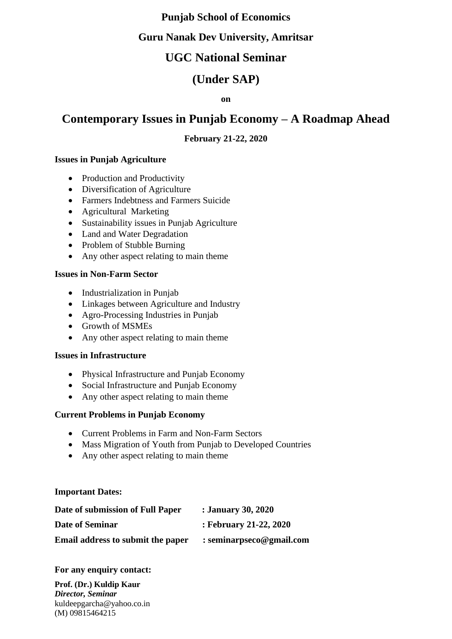### **Punjab School of Economics**

### **Guru Nanak Dev University, Amritsar**

## **UGC National Seminar**

## **(Under SAP)**

**on**

# **Contemporary Issues in Punjab Economy – A Roadmap Ahead**

### **February 21-22, 2020**

#### **Issues in Punjab Agriculture**

- Production and Productivity
- Diversification of Agriculture
- Farmers Indebtness and Farmers Suicide
- Agricultural Marketing
- Sustainability issues in Punjab Agriculture
- Land and Water Degradation
- Problem of Stubble Burning
- Any other aspect relating to main theme

#### **Issues in Non-Farm Sector**

- Industrialization in Punjab
- Linkages between Agriculture and Industry
- Agro-Processing Industries in Punjab
- Growth of MSMEs
- Any other aspect relating to main theme

#### **Issues in Infrastructure**

- Physical Infrastructure and Punjab Economy
- Social Infrastructure and Punjab Economy
- Any other aspect relating to main theme

#### **Current Problems in Punjab Economy**

- Current Problems in Farm and Non-Farm Sectors
- Mass Migration of Youth from Punjab to Developed Countries
- Any other aspect relating to main theme

#### **Important Dates:**

| Date of submission of Full Paper  | : January 30, 2020         |
|-----------------------------------|----------------------------|
| Date of Seminar                   | : February 21-22, 2020     |
| Email address to submit the paper | $:$ seminarpseco@gmail.com |

#### **For any enquiry contact:**

**Prof. (Dr.) Kuldip Kaur** *Director, Seminar* kuldeepgarcha@yahoo.co.in (M) 09815464215